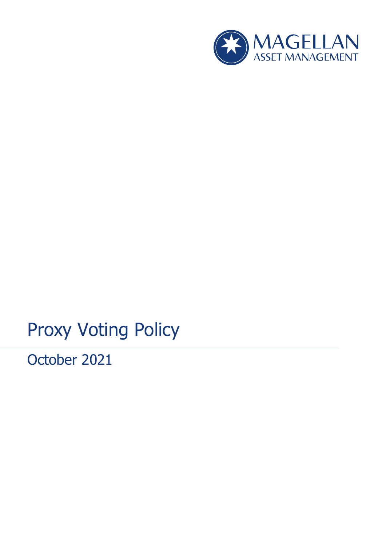

# Proxy Voting Policy

October 2021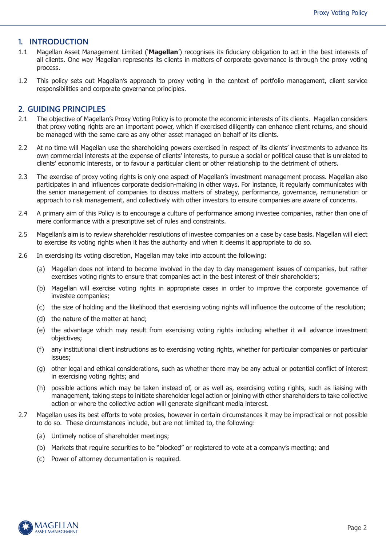#### **1. INTRODUCTION**

- 1.1 Magellan Asset Management Limited ('**Magellan**') recognises its fiduciary obligation to act in the best interests of all clients. One way Magellan represents its clients in matters of corporate governance is through the proxy voting process.
- 1.2 This policy sets out Magellan's approach to proxy voting in the context of portfolio management, client service responsibilities and corporate governance principles.

#### **2. GUIDING PRINCIPLES**

- 2.1 The objective of Magellan's Proxy Voting Policy is to promote the economic interests of its clients. Magellan considers that proxy voting rights are an important power, which if exercised diligently can enhance client returns, and should be managed with the same care as any other asset managed on behalf of its clients.
- 2.2 At no time will Magellan use the shareholding powers exercised in respect of its clients' investments to advance its own commercial interests at the expense of clients' interests, to pursue a social or political cause that is unrelated to clients' economic interests, or to favour a particular client or other relationship to the detriment of others.
- 2.3 The exercise of proxy voting rights is only one aspect of Magellan's investment management process. Magellan also participates in and influences corporate decision-making in other ways. For instance, it regularly communicates with the senior management of companies to discuss matters of strategy, performance, governance, remuneration or approach to risk management, and collectively with other investors to ensure companies are aware of concerns.
- 2.4 A primary aim of this Policy is to encourage a culture of performance among investee companies, rather than one of mere conformance with a prescriptive set of rules and constraints.
- 2.5 Magellan's aim is to review shareholder resolutions of investee companies on a case by case basis. Magellan will elect to exercise its voting rights when it has the authority and when it deems it appropriate to do so.
- 2.6 In exercising its voting discretion, Magellan may take into account the following:
	- (a) Magellan does not intend to become involved in the day to day management issues of companies, but rather exercises voting rights to ensure that companies act in the best interest of their shareholders;
	- (b) Magellan will exercise voting rights in appropriate cases in order to improve the corporate governance of investee companies;
	- (c) the size of holding and the likelihood that exercising voting rights will influence the outcome of the resolution;
	- (d) the nature of the matter at hand;
	- (e) the advantage which may result from exercising voting rights including whether it will advance investment objectives;
	- (f) any institutional client instructions as to exercising voting rights, whether for particular companies or particular issues;
	- (g) other legal and ethical considerations, such as whether there may be any actual or potential conflict of interest in exercising voting rights; and
	- (h) possible actions which may be taken instead of, or as well as, exercising voting rights, such as liaising with management, taking steps to initiate shareholder legal action or joining with other shareholders to take collective action or where the collective action will generate significant media interest.
- 2.7 Magellan uses its best efforts to vote proxies, however in certain circumstances it may be impractical or not possible to do so. These circumstances include, but are not limited to, the following:
	- (a) Untimely notice of shareholder meetings;
	- (b) Markets that require securities to be "blocked" or registered to vote at a company's meeting; and
	- (c) Power of attorney documentation is required.

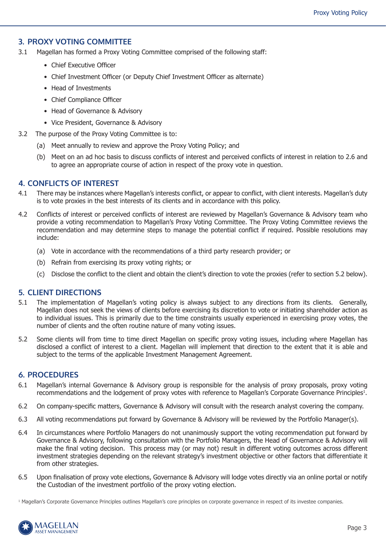## **3. PROXY VOTING COMMITTEE**

- 3.1 Magellan has formed a Proxy Voting Committee comprised of the following staff:
	- Chief Executive Officer
	- Chief Investment Officer (or Deputy Chief Investment Officer as alternate)
	- Head of Investments
	- Chief Compliance Officer
	- Head of Governance & Advisory
	- Vice President, Governance & Advisory
- 3.2 The purpose of the Proxy Voting Committee is to:
	- (a) Meet annually to review and approve the Proxy Voting Policy; and
	- (b) Meet on an ad hoc basis to discuss conflicts of interest and perceived conflicts of interest in relation to 2.6 and to agree an appropriate course of action in respect of the proxy vote in question.

## **4. CONFLICTS OF INTEREST**

- 4.1 There may be instances where Magellan's interests conflict, or appear to conflict, with client interests. Magellan's duty is to vote proxies in the best interests of its clients and in accordance with this policy.
- 4.2 Conflicts of interest or perceived conflicts of interest are reviewed by Magellan's Governance & Advisory team who provide a voting recommendation to Magellan's Proxy Voting Committee. The Proxy Voting Committee reviews the recommendation and may determine steps to manage the potential conflict if required. Possible resolutions may include:
	- (a) Vote in accordance with the recommendations of a third party research provider; or
	- (b) Refrain from exercising its proxy voting rights; or
	- (c) Disclose the conflict to the client and obtain the client's direction to vote the proxies (refer to section 5.2 below).

## **5. CLIENT DIRECTIONS**

- 5.1 The implementation of Magellan's voting policy is always subject to any directions from its clients. Generally, Magellan does not seek the views of clients before exercising its discretion to vote or initiating shareholder action as to individual issues. This is primarily due to the time constraints usually experienced in exercising proxy votes, the number of clients and the often routine nature of many voting issues.
- 5.2 Some clients will from time to time direct Magellan on specific proxy voting issues, including where Magellan has disclosed a conflict of interest to a client. Magellan will implement that direction to the extent that it is able and subject to the terms of the applicable Investment Management Agreement.

## **6. PROCEDURES**

- 6.1 Magellan's internal Governance & Advisory group is responsible for the analysis of proxy proposals, proxy voting recommendations and the lodgement of proxy votes with reference to Magellan's Corporate Governance Principles<sup>1</sup>.
- 6.2 On company-specific matters, Governance & Advisory will consult with the research analyst covering the company.
- 6.3 All voting recommendations put forward by Governance & Advisory will be reviewed by the Portfolio Manager(s).
- 6.4 In circumstances where Portfolio Managers do not unanimously support the voting recommendation put forward by Governance & Advisory, following consultation with the Portfolio Managers, the Head of Governance & Advisory will make the final voting decision. This process may (or may not) result in different voting outcomes across different investment strategies depending on the relevant strategy's investment objective or other factors that differentiate it from other strategies.
- 6.5 Upon finalisation of proxy vote elections, Governance & Advisory will lodge votes directly via an online portal or notify the Custodian of the investment portfolio of the proxy voting election.

<sup>1</sup> Magellan's Corporate Governance Principles outlines Magellan's core principles on corporate governance in respect of its investee companies.